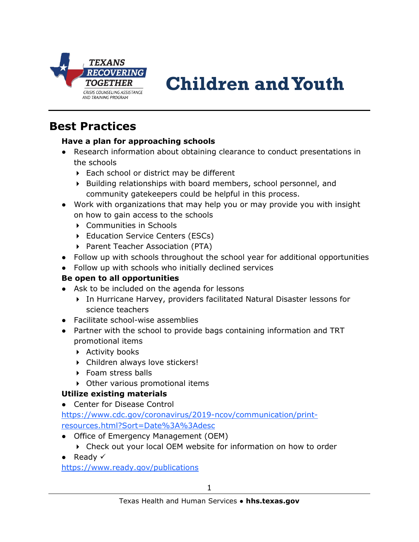

# **Children and Youth**

# **Best Practices**

#### **Have a plan for approaching schools**

- Research information about obtaining clearance to conduct presentations in the schools
	- ▶ Each school or district may be different
	- $\triangleright$  Building relationships with board members, school personnel, and community gatekeepers could be helpful in this process.
- Work with organizations that may help you or may provide you with insight on how to gain access to the schools
	- ▶ Communities in Schools
	- ▶ Education Service Centers (ESCs)
	- ▶ Parent Teacher Association (PTA)
- Follow up with schools throughout the school year for additional opportunities
- Follow up with schools who initially declined services

#### **Be open to all opportunities**

- Ask to be included on the agenda for lessons
	- In Hurricane Harvey, providers facilitated Natural Disaster lessons for science teachers
- Facilitate school-wise assemblies
- Partner with the school to provide bags containing information and TRT promotional items
	- ▶ Activity books
	- Children always love stickers!
	- ▶ Foam stress balls
	- Other various promotional items

#### **Utilize existing materials**

● Center for Disease Control

[https://www.cdc.gov/coronavirus/2019-ncov/communication/print](https://www.cdc.gov/coronavirus/2019-ncov/communication/print-resources.html?Sort=Date%3A%3Adesc)[resources.html?Sort=Date%3A%3Adesc](https://www.cdc.gov/coronavirus/2019-ncov/communication/print-resources.html?Sort=Date%3A%3Adesc)

- Office of Emergency Management (OEM)
	- Check out your local OEM website for information on how to order
- Ready  $\checkmark$

<https://www.ready.gov/publications>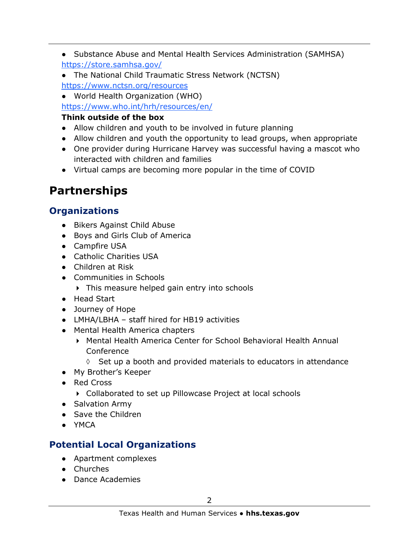- Substance Abuse and Mental Health Services Administration (SAMHSA) <https://store.samhsa.gov/>
- The National Child Traumatic Stress Network (NCTSN) <https://www.nctsn.org/resources>

● World Health Organization (WHO) <https://www.who.int/hrh/resources/en/>

## **Think outside of the box**

- Allow children and youth to be involved in future planning
- Allow children and youth the opportunity to lead groups, when appropriate
- One provider during Hurricane Harvey was successful having a mascot who interacted with children and families
- Virtual camps are becoming more popular in the time of COVID

# **Partnerships**

# **Organizations**

- Bikers Against Child Abuse
- Boys and Girls Club of America
- Campfire USA
- Catholic Charities USA
- Children at Risk
- Communities in Schools
	- This measure helped gain entry into schools
- Head Start
- Journey of Hope
- LMHA/LBHA staff hired for HB19 activities
- Mental Health America chapters
	- Mental Health America Center for School Behavioral Health Annual Conference
		- $\Diamond$  Set up a booth and provided materials to educators in attendance
- My Brother's Keeper
- Red Cross
	- Collaborated to set up Pillowcase Project at local schools
- Salvation Army
- Save the Children
- YMCA

# **Potential Local Organizations**

- Apartment complexes
- Churches
- Dance Academies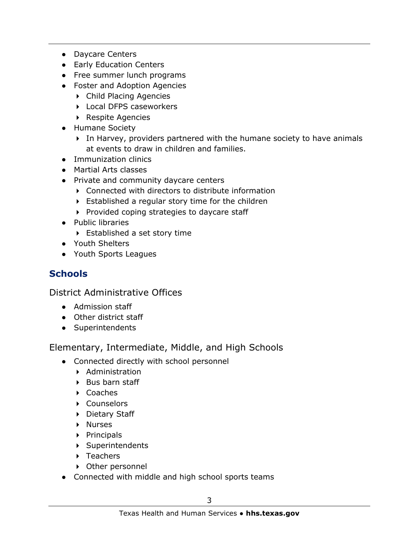- Daycare Centers
- Early Education Centers
- Free summer lunch programs
- Foster and Adoption Agencies
	- Child Placing Agencies
	- ▶ Local DFPS caseworkers
	- ▶ Respite Agencies
- Humane Society
	- In Harvey, providers partnered with the humane society to have animals at events to draw in children and families.
- Immunization clinics
- Martial Arts classes
- Private and community daycare centers
	- Connected with directors to distribute information
	- Established a regular story time for the children
	- $\triangleright$  Provided coping strategies to daycare staff
- Public libraries
	- Established a set story time
- Youth Shelters
- Youth Sports Leagues

# **Schools**

District Administrative Offices

- Admission staff
- Other district staff
- Superintendents

Elementary, Intermediate, Middle, and High Schools

- Connected directly with school personnel
	- Administration
	- $\triangleright$  Bus barn staff
	- ▶ Coaches
	- Counselors
	- ▶ Dietary Staff
	- ▶ Nurses
	- $\triangleright$  Principals
	- Superintendents
	- ▶ Teachers
	- Other personnel
- Connected with middle and high school sports teams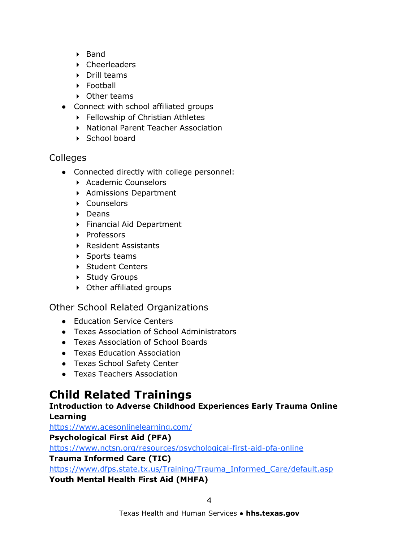- $\triangleright$  Band
- Cheerleaders
- ▶ Drill teams
- ▶ Football
- ▶ Other teams
- Connect with school affiliated groups
	- ▶ Fellowship of Christian Athletes
	- ▶ National Parent Teacher Association
	- ▶ School board

## Colleges

- Connected directly with college personnel:
	- ▶ Academic Counselors
	- Admissions Department
	- ▶ Counselors
	- $\triangleright$  Deans
	- Financial Aid Department
	- Professors
	- Resident Assistants
	- ▶ Sports teams
	- ▶ Student Centers
	- ▶ Study Groups
	- Other affiliated groups

## Other School Related Organizations

- Education Service Centers
- Texas Association of School Administrators
- Texas Association of School Boards
- Texas Education Association
- Texas School Safety Center
- Texas Teachers Association

# **Child Related Trainings**

#### **Introduction to Adverse Childhood Experiences Early Trauma Online Learning**

<https://www.acesonlinelearning.com/>

## **Psychological First Aid (PFA)**

<https://www.nctsn.org/resources/psychological-first-aid-pfa-online>

## **Trauma Informed Care (TIC)**

[https://www.dfps.state.tx.us/Training/Trauma\\_Informed\\_Care/default.asp](https://www.dfps.state.tx.us/Training/Trauma_Informed_Care/default.asp)

## **Youth Mental Health First Aid (MHFA)**